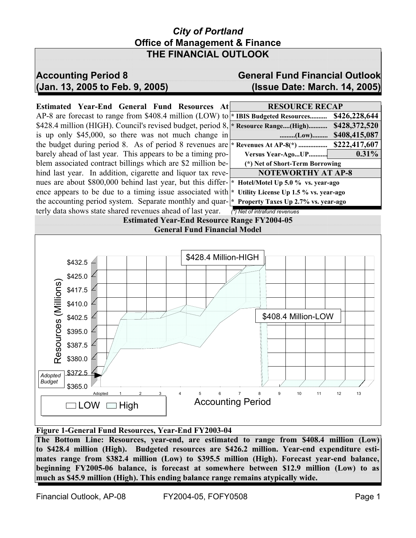## *City of Portland* **Office of Management & Finance THE FINANCIAL OUTLOOK**

# **Accounting Period 8 General Fund Financial Outlook (Jan. 13, 2005 to Feb. 9, 2005) (Issue Date: March. 14, 2005)**

**Estimated Year-End General Fund Resources At** AP-8 are forecast to range from \$408.4 million (LOW) to \$428.4 million (HIGH). Council's revised budget, period 8, is up only  $$45,000$ , so there was not much change in the budget during period 8. As of period 8 revenues are barely ahead of last year. This appears to be a timing problem associated contract billings which are \$2 million behind last year. In addition, cigarette and liquor tax revenues are about \$800,000 behind last year, but this difference appears to be due to a timing issue associated with the accounting period system. Separate monthly and quarterly data shows state shared revenues ahead of last year. *(\*) Net of intrafund revenues*

| <b>RESOURCE RECAP</b>                   |               |
|-----------------------------------------|---------------|
| * IBIS Budgeted Resources               | \$426,228,644 |
| * Resource Range(High)                  | \$428,372,520 |
| (Low)                                   | \$408,415,087 |
| * Revenues At AP-8(*)                   | \$222,417,607 |
| Versus Year-AgoUP                       | $0.31\%$      |
| (*) Net of Short-Term Borrowing         |               |
| <b>NOTEWORTHY AT AP-8</b>               |               |
| * Hotel/Motel Up 5.0 % vs. year-ago     |               |
| * Utility License Up 1.5 % vs. year-ago |               |
| * Property Taxes IIn 2.7% vs. vear-ago  |               |

**Estimated Year-End Resource Range FY2004-05**



### **Figure 1-General Fund Resources, Year-End FY2003-04**

**The Bottom Line: Resources, year-end, are estimated to range from \$408.4 million (Low) to \$428.4 million (High). Budgeted resources are \$426.2 million. Year-end expenditure estimates range from \$382.4 million (Low) to \$395.5 million (High). Forecast year-end balance, beginning FY2005-06 balance, is forecast at somewhere between \$12.9 million (Low) to as much as \$45.9 million (High). This ending balance range remains atypically wide.**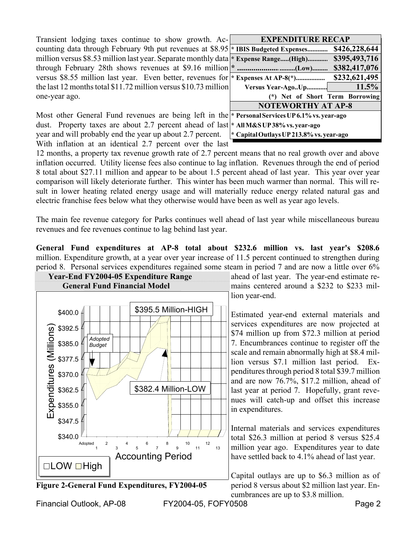Transient lodging taxes continue to show growth. Accounting data through February 9th put revenues at \$8.95 million versus \$8.53 million last year. Separate monthly data through February 28th shows revenues at \$9.16 million versus \$8.55 million last year. Even better, revenues for the last 12 months total \$11.72 million versus \$10.73 million one-year ago.

| <b>EXPENDITURE RECAP</b>                 |               |  |  |  |  |  |
|------------------------------------------|---------------|--|--|--|--|--|
| * IBIS Budgeted Expenses                 | \$426,228,644 |  |  |  |  |  |
| * Expense Range(High)                    | \$395,493,716 |  |  |  |  |  |
| $\ast$<br>(Low)                          | \$382,417,076 |  |  |  |  |  |
| * Expenses At AP-8(*)                    | \$232,621,495 |  |  |  |  |  |
| Versus Year-AgoUp                        | 11.5%         |  |  |  |  |  |
| (*) Net of Short Term Borrowing          |               |  |  |  |  |  |
| <b>NOTEWORTHY AT AP-8</b>                |               |  |  |  |  |  |
| * Personal Services UP 6.1% vs. year-ago |               |  |  |  |  |  |
| * All M&S UP 38% vs. year-ago            |               |  |  |  |  |  |
| * Capital Outlays UP 213.8% vs. year-ago |               |  |  |  |  |  |

Most other General Fund revenues are being left in the dust. Property taxes are about 2.7 percent ahead of last year and will probably end the year up about 2.7 percent. With inflation at an identical 2.7 percent over the last

12 months, a property tax revenue growth rate of 2.7 percent means that no real growth over and above inflation occurred. Utility license fees also continue to lag inflation. Revenues through the end of period 8 total about \$27.11 million and appear to be about 1.5 percent ahead of last year. This year over year comparison will likely deteriorate further. This winter has been much warmer than normal. This will result in lower heating related energy usage and will materially reduce energy related natural gas and electric franchise fees below what they otherwise would have been as well as year ago levels.

The main fee revenue category for Parks continues well ahead of last year while miscellaneous bureau revenues and fee revenues continue to lag behind last year.

**General Fund expenditures at AP-8 total about \$232.6 million vs. last year's \$208.6** million. Expenditure growth, at a year over year increase of 11.5 percent continued to strengthen during period 8. Personal services expenditures regained some steam in period 7 and are now a little over 6%





Financial Outlook, AP-08 FY2004-05, FOFY0508 Page 2

lion year-end.

Estimated year-end external materials and services expenditures are now projected at \$74 million up from \$72.3 million at period 7. Encumbrances continue to register off the scale and remain abnormally high at \$8.4 million versus \$7.1 million last period. Expenditures through period 8 total \$39.7 million and are now 76.7%, \$17.2 million, ahead of last year at period 7. Hopefully, grant revenues will catch-up and offset this increase in expenditures.

Internal materials and services expenditures total \$26.3 million at period 8 versus \$25.4 million year ago. Expenditures year to date have settled back to 4.1% ahead of last year.

Capital outlays are up to \$6.3 million as of cumbrances are up to \$3.8 million.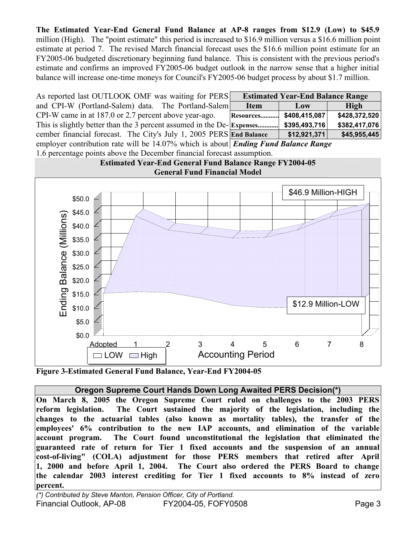**The Estimated Year-End General Fund Balance at AP-8 ranges from \$12.9 (Low) to \$45.9** million (High). The "point estimate" this period is increased to \$16.9 million versus a \$16.6 million point estimate at period 7. The revised March financial forecast uses the \$16.6 million point estimate for an FY2005-06 budgeted discretionary beginning fund balance. This is consistent with the previous period's estimate and confirms an improved FY2005-06 budget outlook in the narrow sense that a higher initial balance will increase one-time moneys for Council's FY2005-06 budget process by about \$1.7 million.

| As reported last OUTLOOK OMF was waiting for PERS                                         |                         | <b>Estimated Year-End Balance Range</b> |               |
|-------------------------------------------------------------------------------------------|-------------------------|-----------------------------------------|---------------|
| and CPI-W (Portland-Salem) data. The Portland-Salem                                       | <b>Item</b>             | Low                                     | High          |
| CPI-W came in at 187.0 or 2.7 percent above year-ago.                                     | Resources \$408,415,087 |                                         | \$428,372,520 |
| This is slightly better than the 3 percent assumed in the De-Expenses                     |                         | \$395,493,716                           | \$382,417,076 |
| cember financial forecast. The City's July 1, 2005 PERS End Balance                       |                         | \$12,921,371                            | \$45,955,445  |
| employer contribution rate will be 14.07% which is about <i>Ending Fund Balance Range</i> |                         |                                         |               |

1.6 percentage points above the December financial forecast assumption.



**Figure 3-Estimated General Fund Balance, Year-End FY2004-05**

### **Oregon Supreme Court Hands Down Long Awaited PERS Decision(\*)**

**On March 8, 2005 the Oregon Supreme Court ruled on challenges to the 2003 PERS reform legislation. The Court sustained the majority of the legislation, including the changes to the actuarial tables (also known as mortality tables), the transfer of the employees' 6% contribution to the new IAP accounts, and elimination of the variable account program. The Court found unconstitutional the legislation that eliminated the guaranteed rate of return for Tier 1 fixed accounts and the suspension of an annual cost-of-living" (COLA) adjustment for those PERS members that retired after April 1, 2000 and before April 1, 2004. The Court also ordered the PERS Board to change the calendar 2003 interest crediting for Tier 1 fixed accounts to 8% instead of zero percent.**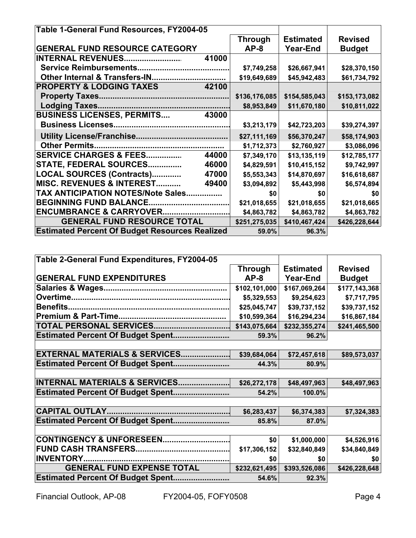| Table 1-General Fund Resources, FY2004-05             |                |                  |                |
|-------------------------------------------------------|----------------|------------------|----------------|
|                                                       | <b>Through</b> | <b>Estimated</b> | <b>Revised</b> |
| <b>GENERAL FUND RESOURCE CATEGORY</b>                 | $AP-8$         | <b>Year-End</b>  | <b>Budget</b>  |
| <b>INTERNAL REVENUES</b><br>41000                     |                |                  |                |
| <b>Service Reimbursements.</b><br>                    | \$7,749,258    | \$26,667,941     | \$28,370,150   |
| <b>Other Internal &amp; Transfers-IN</b>              | \$19,649,689   | \$45,942,483     | \$61,734,792   |
| <b>PROPERTY &amp; LODGING TAXES</b><br>42100          |                |                  |                |
|                                                       | \$136,176,085  | \$154,585,043    | \$153,173,082  |
|                                                       | \$8,953,849    | \$11,670,180     | \$10,811,022   |
| <b>BUSINESS LICENSES, PERMITS</b><br>43000            |                |                  |                |
|                                                       | \$3,213,179    | \$42,723,203     | \$39,274,397   |
|                                                       | \$27,111,169   | \$56,370,247     | \$58,174,903   |
| <b>Other Permits</b>                                  | \$1,712,373    | \$2,760,927      | \$3,086,096    |
| <b>SERVICE CHARGES &amp; FEES</b><br>44000            | \$7,349,170    | \$13,135,119     | \$12,785,177   |
| <b>STATE, FEDERAL SOURCES</b><br>46000<br>.           | \$4,829,591    | \$10,415,152     | \$9,742,997    |
| LOCAL SOURCES (Contracts)<br>47000                    | \$5,553,343    | \$14,870,697     | \$16,618,687   |
| MISC. REVENUES & INTEREST<br>49400                    | \$3,094,892    | \$5,443,998      | \$6,574,894    |
| <b>TAX ANTICIPATION NOTES/Note Sales</b>              | \$0            | \$0              | \$0            |
| <b>BEGINNING FUND BALANCE.</b><br>                    | \$21,018,655   | \$21,018,655     | \$21,018,665   |
| <b>ENCUMBRANCE &amp; CARRYOVER</b>                    | \$4,863,782    | \$4,863,782      | \$4,863,782    |
| <b>GENERAL FUND RESOURCE TOTAL</b>                    | \$251,275,035  | \$410,467,424    | \$426,228,644  |
| <b>Estimated Percent Of Budget Resources Realized</b> | 59.0%          | 96.3%            |                |

| Table 2-General Fund Expenditures, FY2004-05 |                |                  |                |  |
|----------------------------------------------|----------------|------------------|----------------|--|
|                                              | <b>Through</b> | <b>Estimated</b> | <b>Revised</b> |  |
| <b>GENERAL FUND EXPENDITURES</b>             | $AP-8$         | <b>Year-End</b>  | <b>Budget</b>  |  |
|                                              | \$102,101,000  | \$167,069,264    | \$177,143,368  |  |
|                                              | \$5,329,553    | \$9,254,623      | \$7,717,795    |  |
| Benefits.                                    | \$25,045,747   | \$39,737,152     | \$39,737,152   |  |
|                                              | \$10,599,364   | \$16,294,234     | \$16,867,184   |  |
|                                              | \$143,075,664  | \$232,355,274    | \$241,465,500  |  |
| <b>Estimated Percent Of Budget Spent</b>     | 59.3%          | 96.2%            |                |  |
|                                              |                |                  |                |  |
| EXTERNAL MATERIALS & SERVICES                | \$39,684,064   | \$72,457,618     | \$89,573,037   |  |
| <b>Estimated Percent Of Budget Spent</b>     | 44.3%          | 80.9%            |                |  |
|                                              |                |                  |                |  |
| INTERNAL MATERIALS & SERVICES                | \$26,272,178   | \$48,497,963     | \$48,497,963   |  |
| <b>Estimated Percent Of Budget Spent</b>     | 54.2%          | 100.0%           |                |  |
|                                              |                |                  |                |  |
|                                              | \$6,283,437    | \$6,374,383      | \$7,324,383    |  |
| <b>Estimated Percent Of Budget Spent</b>     | 85.8%          | 87.0%            |                |  |
|                                              |                |                  |                |  |
| CONTINGENCY & UNFORESEEN                     | \$0            | \$1,000,000      | \$4,526,916    |  |
| <b>FUND CASH TRANSFERS.</b>                  | \$17,306,152   | \$32,840,849     | \$34,840,849   |  |
| <b>INVENTORY.</b>                            | \$0            | \$0              | \$0            |  |
| <b>GENERAL FUND EXPENSE TOTAL</b>            | \$232,621,495  | \$393,526,086    | \$426,228,648  |  |
| <b>Estimated Percent Of Budget Spent</b>     | 54.6%          | 92.3%            |                |  |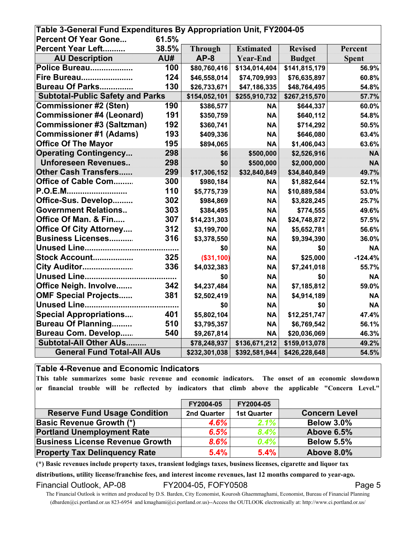| Table 3-General Fund Expenditures By Appropriation Unit, FY2004-05 |       |                |                  |                |              |  |
|--------------------------------------------------------------------|-------|----------------|------------------|----------------|--------------|--|
| <b>Percent Of Year Gone</b>                                        | 61.5% |                |                  |                |              |  |
| Percent Year Left                                                  | 38.5% | <b>Through</b> | <b>Estimated</b> | <b>Revised</b> | Percent      |  |
| <b>AU Description</b>                                              | AU#   | $AP-8$         | <b>Year-End</b>  | <b>Budget</b>  | <b>Spent</b> |  |
| Police Bureau                                                      | 100   | \$80,760,416   | \$134,014,404    | \$141,815,179  | 56.9%        |  |
| <b>Fire Bureau</b>                                                 | 124   | \$46,558,014   | \$74,709,993     | \$76,635,897   | 60.8%        |  |
| Bureau Of Parks                                                    | 130   | \$26,733,671   | \$47,186,335     | \$48,764,495   | 54.8%        |  |
| <b>Subtotal-Public Safety and Parks</b>                            |       | \$154,052,101  | \$255,910,732    | \$267,215,570  | 57.7%        |  |
| <b>Commissioner #2 (Sten)</b>                                      | 190   | \$386,577      | <b>NA</b>        | \$644,337      | 60.0%        |  |
| <b>Commissioner #4 (Leonard)</b>                                   | 191   | \$350,759      | <b>NA</b>        | \$640,112      | 54.8%        |  |
| <b>Commissioner #3 (Saltzman)</b>                                  | 192   | \$360,741      | <b>NA</b>        | \$714,292      | 50.5%        |  |
| <b>Commissioner #1 (Adams)</b>                                     | 193   | \$409,336      | <b>NA</b>        | \$646,080      | 63.4%        |  |
| <b>Office Of The Mayor</b>                                         | 195   | \$894,065      | <b>NA</b>        | \$1,406,043    | 63.6%        |  |
| <b>Operating Contingency</b>                                       | 298   | \$6            | \$500,000        | \$2,526,916    | <b>NA</b>    |  |
| <b>Unforeseen Revenues</b>                                         | 298   | \$0            | \$500,000        | \$2,000,000    | <b>NA</b>    |  |
| <b>Other Cash Transfers</b>                                        | 299   | \$17,306,152   | \$32,840,849     | \$34,840,849   | 49.7%        |  |
| Office of Cable Com                                                | 300   | \$980,184      | <b>NA</b>        | \$1,882,644    | 52.1%        |  |
| P.O.E.M                                                            | 110   | \$5,775,739    | <b>NA</b>        | \$10,889,584   | 53.0%        |  |
| Office-Sus. Develop                                                | 302   | \$984,869      | <b>NA</b>        | \$3,828,245    | 25.7%        |  |
| <b>Government Relations</b>                                        | 303   | \$384,495      | <b>NA</b>        | \$774,555      | 49.6%        |  |
| Office Of Man. & Fin                                               | 307   | \$14,231,303   | <b>NA</b>        | \$24,748,872   | 57.5%        |  |
| <b>Office Of City Attorney</b>                                     | 312   | \$3,199,700    | <b>NA</b>        | \$5,652,781    | 56.6%        |  |
| <b>Business Licenses</b>                                           | 316   | \$3,378,550    | <b>NA</b>        | \$9,394,390    | 36.0%        |  |
| <b>Unused Line</b>                                                 |       | \$0            | <b>NA</b>        | \$0            | <b>NA</b>    |  |
| Stock Account                                                      | 325   | (\$31,100)     | <b>NA</b>        | \$25,000       | $-124.4%$    |  |
| City Auditor                                                       | 336   | \$4,032,383    | <b>NA</b>        | \$7,241,018    | 55.7%        |  |
|                                                                    |       | \$0            | <b>NA</b>        | \$0            | <b>NA</b>    |  |
| Office Neigh. Involve                                              | 342   | \$4,237,484    | <b>NA</b>        | \$7,185,812    | 59.0%        |  |
| <b>OMF Special Projects</b>                                        | 381   | \$2,502,419    | <b>NA</b>        | \$4,914,189    | <b>NA</b>    |  |
| <b>Unused Line</b>                                                 |       | \$0            | <b>NA</b>        | \$0            | <b>NA</b>    |  |
| <b>Special Appropriations</b>                                      | 401   | \$5,802,104    | <b>NA</b>        | \$12,251,747   | 47.4%        |  |
| <b>Bureau Of Planning</b>                                          | 510   | \$3,795,357    | <b>NA</b>        | \$6,769,542    | 56.1%        |  |
| <b>Bureau Com. Develop</b>                                         | 540   | \$9,267,814    | <b>NA</b>        | \$20,036,069   | 46.3%        |  |
| Subtotal-All Other AUs                                             |       | \$78,248,937   | \$136,671,212    | \$159,013,078  | 49.2%        |  |
| <b>General Fund Total-All AUs</b>                                  |       | \$232,301,038  | \$392,581,944    | \$426,228,648  | 54.5%        |  |

#### **Table 4-Revenue and Economic Indicators**

**This table summarizes some basic revenue and economic indicators. The onset of an economic slowdown or financial trouble will be reflected by indicators that climb above the applicable "Concern Level."**

|                                        | FY2004-05   | FY2004-05          |                      |
|----------------------------------------|-------------|--------------------|----------------------|
| <b>Reserve Fund Usage Condition</b>    | 2nd Quarter | <b>1st Quarter</b> | <b>Concern Level</b> |
| <b>Basic Revenue Growth (*)</b>        | 4.6%        | 2.1%               | <b>Below 3.0%</b>    |
| <b>Portland Unemployment Rate</b>      | 6.5%        | 8.4%               | <b>Above 6.5%</b>    |
| <b>Business License Revenue Growth</b> | 8.6%        | $0.4\%$            | <b>Below 5.5%</b>    |
| <b>Property Tax Delinquency Rate</b>   | 5.4%        | 5.4%               | <b>Above 8.0%</b>    |

**(\*) Basic revenues include property taxes, transient lodgings taxes, business licenses, cigarette and liquor tax** 

**distributions, utility license/franchise fees, and interest income revenues, last 12 months compared to year-ago.** Financial Outlook, AP-08 FY2004-05, FOFY0508 Financial Outlook, AP-08

The Financial Outlook is written and produced by D.S. Barden, City Economist, Kourosh Ghaemmaghami, Economist, Bureau of Financial Planning (dbarden@ci.portland.or.us 823-6954 and kmaghami@ci.portland.or.us)--Access the OUTLOOK electronically at: http://www.ci.portland.or.us/